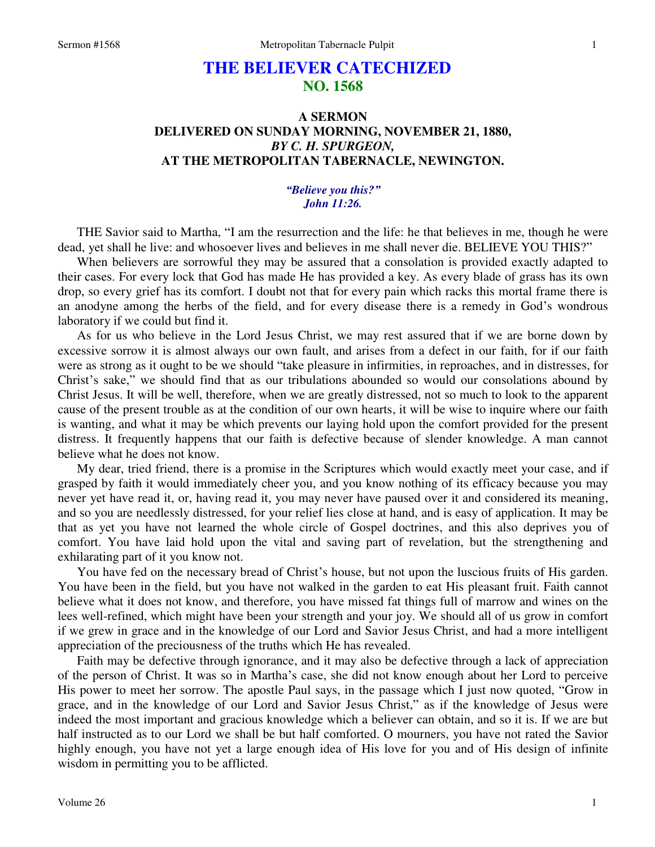# **THE BELIEVER CATECHIZED NO. 1568**

# **A SERMON DELIVERED ON SUNDAY MORNING, NOVEMBER 21, 1880,**  *BY C. H. SPURGEON,*  **AT THE METROPOLITAN TABERNACLE, NEWINGTON.**

### *"Believe you this?" John 11:26.*

THE Savior said to Martha, "I am the resurrection and the life: he that believes in me, though he were dead, yet shall he live: and whosoever lives and believes in me shall never die. BELIEVE YOU THIS?"

 When believers are sorrowful they may be assured that a consolation is provided exactly adapted to their cases. For every lock that God has made He has provided a key. As every blade of grass has its own drop, so every grief has its comfort. I doubt not that for every pain which racks this mortal frame there is an anodyne among the herbs of the field, and for every disease there is a remedy in God's wondrous laboratory if we could but find it.

 As for us who believe in the Lord Jesus Christ, we may rest assured that if we are borne down by excessive sorrow it is almost always our own fault, and arises from a defect in our faith, for if our faith were as strong as it ought to be we should "take pleasure in infirmities, in reproaches, and in distresses, for Christ's sake," we should find that as our tribulations abounded so would our consolations abound by Christ Jesus. It will be well, therefore, when we are greatly distressed, not so much to look to the apparent cause of the present trouble as at the condition of our own hearts, it will be wise to inquire where our faith is wanting, and what it may be which prevents our laying hold upon the comfort provided for the present distress. It frequently happens that our faith is defective because of slender knowledge. A man cannot believe what he does not know.

 My dear, tried friend, there is a promise in the Scriptures which would exactly meet your case, and if grasped by faith it would immediately cheer you, and you know nothing of its efficacy because you may never yet have read it, or, having read it, you may never have paused over it and considered its meaning, and so you are needlessly distressed, for your relief lies close at hand, and is easy of application. It may be that as yet you have not learned the whole circle of Gospel doctrines, and this also deprives you of comfort. You have laid hold upon the vital and saving part of revelation, but the strengthening and exhilarating part of it you know not.

 You have fed on the necessary bread of Christ's house, but not upon the luscious fruits of His garden. You have been in the field, but you have not walked in the garden to eat His pleasant fruit. Faith cannot believe what it does not know, and therefore, you have missed fat things full of marrow and wines on the lees well-refined, which might have been your strength and your joy. We should all of us grow in comfort if we grew in grace and in the knowledge of our Lord and Savior Jesus Christ, and had a more intelligent appreciation of the preciousness of the truths which He has revealed.

 Faith may be defective through ignorance, and it may also be defective through a lack of appreciation of the person of Christ. It was so in Martha's case, she did not know enough about her Lord to perceive His power to meet her sorrow. The apostle Paul says, in the passage which I just now quoted, "Grow in grace, and in the knowledge of our Lord and Savior Jesus Christ," as if the knowledge of Jesus were indeed the most important and gracious knowledge which a believer can obtain, and so it is. If we are but half instructed as to our Lord we shall be but half comforted. O mourners, you have not rated the Savior highly enough, you have not yet a large enough idea of His love for you and of His design of infinite wisdom in permitting you to be afflicted.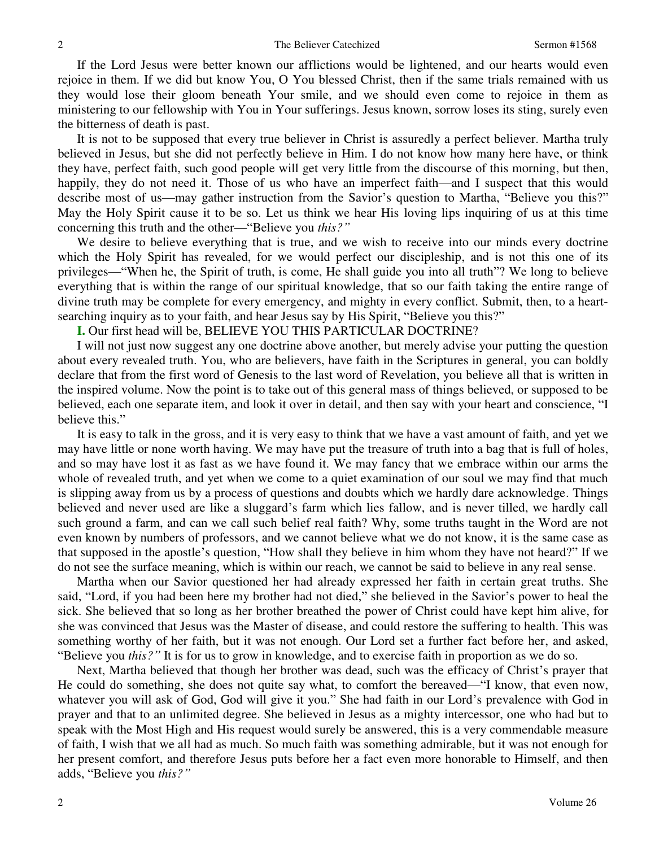If the Lord Jesus were better known our afflictions would be lightened, and our hearts would even rejoice in them. If we did but know You, O You blessed Christ, then if the same trials remained with us they would lose their gloom beneath Your smile, and we should even come to rejoice in them as ministering to our fellowship with You in Your sufferings. Jesus known, sorrow loses its sting, surely even the bitterness of death is past.

 It is not to be supposed that every true believer in Christ is assuredly a perfect believer. Martha truly believed in Jesus, but she did not perfectly believe in Him. I do not know how many here have, or think they have, perfect faith, such good people will get very little from the discourse of this morning, but then, happily, they do not need it. Those of us who have an imperfect faith—and I suspect that this would describe most of us—may gather instruction from the Savior's question to Martha, "Believe you this?" May the Holy Spirit cause it to be so. Let us think we hear His loving lips inquiring of us at this time concerning this truth and the other—"Believe you *this?"*

We desire to believe everything that is true, and we wish to receive into our minds every doctrine which the Holy Spirit has revealed, for we would perfect our discipleship, and is not this one of its privileges—"When he, the Spirit of truth, is come, He shall guide you into all truth"? We long to believe everything that is within the range of our spiritual knowledge, that so our faith taking the entire range of divine truth may be complete for every emergency, and mighty in every conflict. Submit, then, to a heartsearching inquiry as to your faith, and hear Jesus say by His Spirit, "Believe you this?"

**I.** Our first head will be, BELIEVE YOU THIS PARTICULAR DOCTRINE?

 I will not just now suggest any one doctrine above another, but merely advise your putting the question about every revealed truth. You, who are believers, have faith in the Scriptures in general, you can boldly declare that from the first word of Genesis to the last word of Revelation, you believe all that is written in the inspired volume. Now the point is to take out of this general mass of things believed, or supposed to be believed, each one separate item, and look it over in detail, and then say with your heart and conscience, "I believe this."

 It is easy to talk in the gross, and it is very easy to think that we have a vast amount of faith, and yet we may have little or none worth having. We may have put the treasure of truth into a bag that is full of holes, and so may have lost it as fast as we have found it. We may fancy that we embrace within our arms the whole of revealed truth, and yet when we come to a quiet examination of our soul we may find that much is slipping away from us by a process of questions and doubts which we hardly dare acknowledge. Things believed and never used are like a sluggard's farm which lies fallow, and is never tilled, we hardly call such ground a farm, and can we call such belief real faith? Why, some truths taught in the Word are not even known by numbers of professors, and we cannot believe what we do not know, it is the same case as that supposed in the apostle's question, "How shall they believe in him whom they have not heard?" If we do not see the surface meaning, which is within our reach, we cannot be said to believe in any real sense.

 Martha when our Savior questioned her had already expressed her faith in certain great truths. She said, "Lord, if you had been here my brother had not died," she believed in the Savior's power to heal the sick. She believed that so long as her brother breathed the power of Christ could have kept him alive, for she was convinced that Jesus was the Master of disease, and could restore the suffering to health. This was something worthy of her faith, but it was not enough. Our Lord set a further fact before her, and asked, "Believe you *this?"* It is for us to grow in knowledge, and to exercise faith in proportion as we do so.

 Next, Martha believed that though her brother was dead, such was the efficacy of Christ's prayer that He could do something, she does not quite say what, to comfort the bereaved—"I know, that even now, whatever you will ask of God, God will give it you." She had faith in our Lord's prevalence with God in prayer and that to an unlimited degree. She believed in Jesus as a mighty intercessor, one who had but to speak with the Most High and His request would surely be answered, this is a very commendable measure of faith, I wish that we all had as much. So much faith was something admirable, but it was not enough for her present comfort, and therefore Jesus puts before her a fact even more honorable to Himself, and then adds, "Believe you *this?"*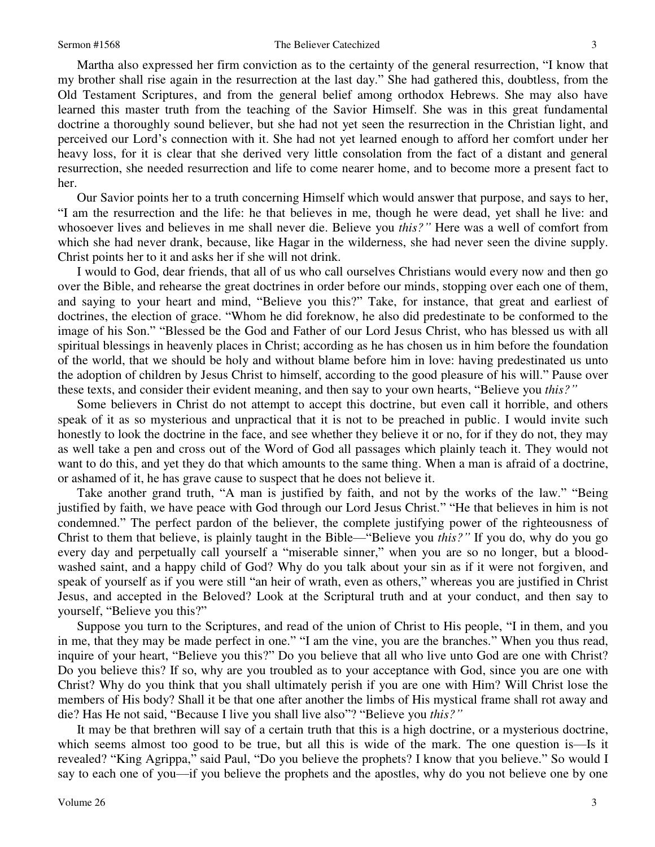Martha also expressed her firm conviction as to the certainty of the general resurrection, "I know that my brother shall rise again in the resurrection at the last day." She had gathered this, doubtless, from the Old Testament Scriptures, and from the general belief among orthodox Hebrews. She may also have learned this master truth from the teaching of the Savior Himself. She was in this great fundamental doctrine a thoroughly sound believer, but she had not yet seen the resurrection in the Christian light, and perceived our Lord's connection with it. She had not yet learned enough to afford her comfort under her heavy loss, for it is clear that she derived very little consolation from the fact of a distant and general resurrection, she needed resurrection and life to come nearer home, and to become more a present fact to her.

 Our Savior points her to a truth concerning Himself which would answer that purpose, and says to her, "I am the resurrection and the life: he that believes in me, though he were dead, yet shall he live: and whosoever lives and believes in me shall never die. Believe you *this?"* Here was a well of comfort from which she had never drank, because, like Hagar in the wilderness, she had never seen the divine supply. Christ points her to it and asks her if she will not drink.

 I would to God, dear friends, that all of us who call ourselves Christians would every now and then go over the Bible, and rehearse the great doctrines in order before our minds, stopping over each one of them, and saying to your heart and mind, "Believe you this?" Take, for instance, that great and earliest of doctrines, the election of grace. "Whom he did foreknow, he also did predestinate to be conformed to the image of his Son." "Blessed be the God and Father of our Lord Jesus Christ, who has blessed us with all spiritual blessings in heavenly places in Christ; according as he has chosen us in him before the foundation of the world, that we should be holy and without blame before him in love: having predestinated us unto the adoption of children by Jesus Christ to himself, according to the good pleasure of his will." Pause over these texts, and consider their evident meaning, and then say to your own hearts, "Believe you *this?"*

 Some believers in Christ do not attempt to accept this doctrine, but even call it horrible, and others speak of it as so mysterious and unpractical that it is not to be preached in public. I would invite such honestly to look the doctrine in the face, and see whether they believe it or no, for if they do not, they may as well take a pen and cross out of the Word of God all passages which plainly teach it. They would not want to do this, and yet they do that which amounts to the same thing. When a man is afraid of a doctrine, or ashamed of it, he has grave cause to suspect that he does not believe it.

 Take another grand truth, "A man is justified by faith, and not by the works of the law." "Being justified by faith, we have peace with God through our Lord Jesus Christ." "He that believes in him is not condemned." The perfect pardon of the believer, the complete justifying power of the righteousness of Christ to them that believe, is plainly taught in the Bible—"Believe you *this?"* If you do, why do you go every day and perpetually call yourself a "miserable sinner," when you are so no longer, but a bloodwashed saint, and a happy child of God? Why do you talk about your sin as if it were not forgiven, and speak of yourself as if you were still "an heir of wrath, even as others," whereas you are justified in Christ Jesus, and accepted in the Beloved? Look at the Scriptural truth and at your conduct, and then say to yourself, "Believe you this?"

 Suppose you turn to the Scriptures, and read of the union of Christ to His people, "I in them, and you in me, that they may be made perfect in one." "I am the vine, you are the branches." When you thus read, inquire of your heart, "Believe you this?" Do you believe that all who live unto God are one with Christ? Do you believe this? If so, why are you troubled as to your acceptance with God, since you are one with Christ? Why do you think that you shall ultimately perish if you are one with Him? Will Christ lose the members of His body? Shall it be that one after another the limbs of His mystical frame shall rot away and die? Has He not said, "Because I live you shall live also"? "Believe you *this?"*

 It may be that brethren will say of a certain truth that this is a high doctrine, or a mysterious doctrine, which seems almost too good to be true, but all this is wide of the mark. The one question is—Is it revealed? "King Agrippa," said Paul, "Do you believe the prophets? I know that you believe." So would I say to each one of you—if you believe the prophets and the apostles, why do you not believe one by one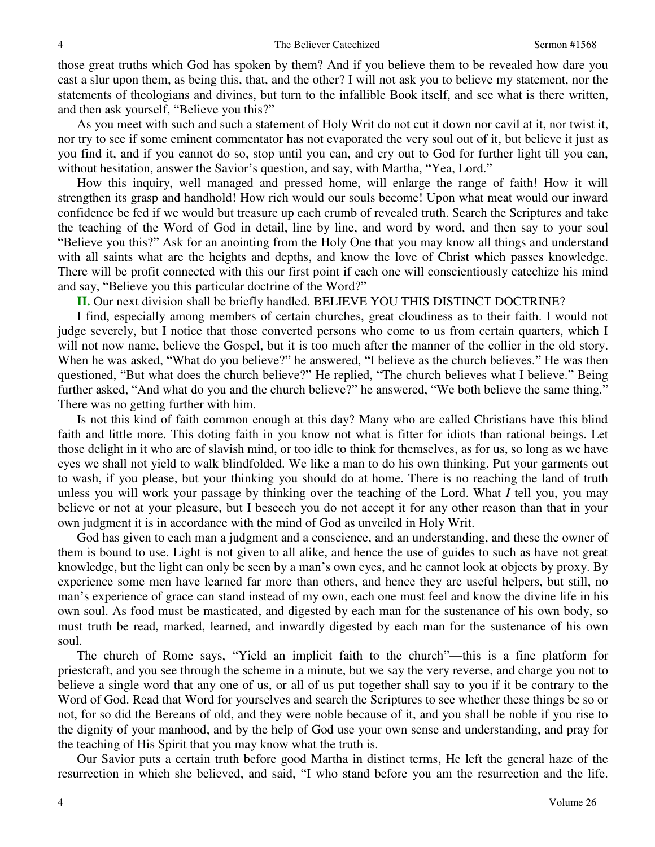those great truths which God has spoken by them? And if you believe them to be revealed how dare you cast a slur upon them, as being this, that, and the other? I will not ask you to believe my statement, nor the statements of theologians and divines, but turn to the infallible Book itself, and see what is there written, and then ask yourself, "Believe you this?"

 As you meet with such and such a statement of Holy Writ do not cut it down nor cavil at it, nor twist it, nor try to see if some eminent commentator has not evaporated the very soul out of it, but believe it just as you find it, and if you cannot do so, stop until you can, and cry out to God for further light till you can, without hesitation, answer the Savior's question, and say, with Martha, "Yea, Lord."

 How this inquiry, well managed and pressed home, will enlarge the range of faith! How it will strengthen its grasp and handhold! How rich would our souls become! Upon what meat would our inward confidence be fed if we would but treasure up each crumb of revealed truth. Search the Scriptures and take the teaching of the Word of God in detail, line by line, and word by word, and then say to your soul "Believe you this?" Ask for an anointing from the Holy One that you may know all things and understand with all saints what are the heights and depths, and know the love of Christ which passes knowledge. There will be profit connected with this our first point if each one will conscientiously catechize his mind and say, "Believe you this particular doctrine of the Word?"

**II.** Our next division shall be briefly handled. BELIEVE YOU THIS DISTINCT DOCTRINE?

 I find, especially among members of certain churches, great cloudiness as to their faith. I would not judge severely, but I notice that those converted persons who come to us from certain quarters, which I will not now name, believe the Gospel, but it is too much after the manner of the collier in the old story. When he was asked, "What do you believe?" he answered, "I believe as the church believes." He was then questioned, "But what does the church believe?" He replied, "The church believes what I believe." Being further asked, "And what do you and the church believe?" he answered, "We both believe the same thing." There was no getting further with him.

 Is not this kind of faith common enough at this day? Many who are called Christians have this blind faith and little more. This doting faith in you know not what is fitter for idiots than rational beings. Let those delight in it who are of slavish mind, or too idle to think for themselves, as for us, so long as we have eyes we shall not yield to walk blindfolded. We like a man to do his own thinking. Put your garments out to wash, if you please, but your thinking you should do at home. There is no reaching the land of truth unless you will work your passage by thinking over the teaching of the Lord. What *I* tell you, you may believe or not at your pleasure, but I beseech you do not accept it for any other reason than that in your own judgment it is in accordance with the mind of God as unveiled in Holy Writ.

 God has given to each man a judgment and a conscience, and an understanding, and these the owner of them is bound to use. Light is not given to all alike, and hence the use of guides to such as have not great knowledge, but the light can only be seen by a man's own eyes, and he cannot look at objects by proxy. By experience some men have learned far more than others, and hence they are useful helpers, but still, no man's experience of grace can stand instead of my own, each one must feel and know the divine life in his own soul. As food must be masticated, and digested by each man for the sustenance of his own body, so must truth be read, marked, learned, and inwardly digested by each man for the sustenance of his own soul.

 The church of Rome says, "Yield an implicit faith to the church"—this is a fine platform for priestcraft, and you see through the scheme in a minute, but we say the very reverse, and charge you not to believe a single word that any one of us, or all of us put together shall say to you if it be contrary to the Word of God. Read that Word for yourselves and search the Scriptures to see whether these things be so or not, for so did the Bereans of old, and they were noble because of it, and you shall be noble if you rise to the dignity of your manhood, and by the help of God use your own sense and understanding, and pray for the teaching of His Spirit that you may know what the truth is.

 Our Savior puts a certain truth before good Martha in distinct terms, He left the general haze of the resurrection in which she believed, and said, "I who stand before you am the resurrection and the life.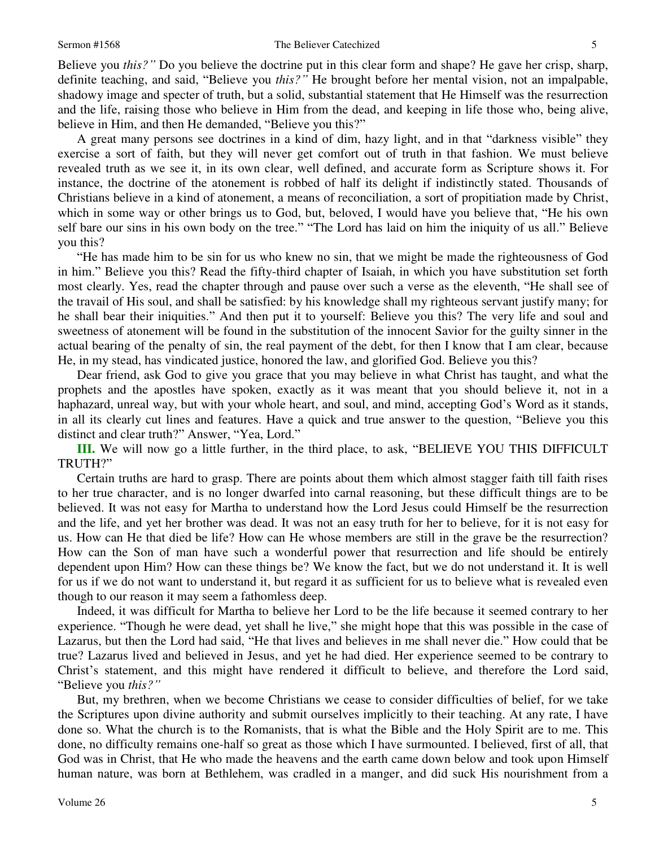#### Sermon #1568 The Believer Catechized 5

Believe you *this?"* Do you believe the doctrine put in this clear form and shape? He gave her crisp, sharp, definite teaching, and said, "Believe you *this?"* He brought before her mental vision, not an impalpable, shadowy image and specter of truth, but a solid, substantial statement that He Himself was the resurrection and the life, raising those who believe in Him from the dead, and keeping in life those who, being alive, believe in Him, and then He demanded, "Believe you this?"

 A great many persons see doctrines in a kind of dim, hazy light, and in that "darkness visible" they exercise a sort of faith, but they will never get comfort out of truth in that fashion. We must believe revealed truth as we see it, in its own clear, well defined, and accurate form as Scripture shows it. For instance, the doctrine of the atonement is robbed of half its delight if indistinctly stated. Thousands of Christians believe in a kind of atonement, a means of reconciliation, a sort of propitiation made by Christ, which in some way or other brings us to God, but, beloved, I would have you believe that, "He his own self bare our sins in his own body on the tree." "The Lord has laid on him the iniquity of us all." Believe you this?

"He has made him to be sin for us who knew no sin, that we might be made the righteousness of God in him." Believe you this? Read the fifty-third chapter of Isaiah, in which you have substitution set forth most clearly. Yes, read the chapter through and pause over such a verse as the eleventh, "He shall see of the travail of His soul, and shall be satisfied: by his knowledge shall my righteous servant justify many; for he shall bear their iniquities." And then put it to yourself: Believe you this? The very life and soul and sweetness of atonement will be found in the substitution of the innocent Savior for the guilty sinner in the actual bearing of the penalty of sin, the real payment of the debt, for then I know that I am clear, because He, in my stead, has vindicated justice, honored the law, and glorified God. Believe you this?

 Dear friend, ask God to give you grace that you may believe in what Christ has taught, and what the prophets and the apostles have spoken, exactly as it was meant that you should believe it, not in a haphazard, unreal way, but with your whole heart, and soul, and mind, accepting God's Word as it stands, in all its clearly cut lines and features. Have a quick and true answer to the question, "Believe you this distinct and clear truth?" Answer, "Yea, Lord."

**III.** We will now go a little further, in the third place, to ask, "BELIEVE YOU THIS DIFFICULT TRUTH?"

Certain truths are hard to grasp. There are points about them which almost stagger faith till faith rises to her true character, and is no longer dwarfed into carnal reasoning, but these difficult things are to be believed. It was not easy for Martha to understand how the Lord Jesus could Himself be the resurrection and the life, and yet her brother was dead. It was not an easy truth for her to believe, for it is not easy for us. How can He that died be life? How can He whose members are still in the grave be the resurrection? How can the Son of man have such a wonderful power that resurrection and life should be entirely dependent upon Him? How can these things be? We know the fact, but we do not understand it. It is well for us if we do not want to understand it, but regard it as sufficient for us to believe what is revealed even though to our reason it may seem a fathomless deep.

 Indeed, it was difficult for Martha to believe her Lord to be the life because it seemed contrary to her experience. "Though he were dead, yet shall he live," she might hope that this was possible in the case of Lazarus, but then the Lord had said, "He that lives and believes in me shall never die." How could that be true? Lazarus lived and believed in Jesus, and yet he had died. Her experience seemed to be contrary to Christ's statement, and this might have rendered it difficult to believe, and therefore the Lord said, "Believe you *this?"*

 But, my brethren, when we become Christians we cease to consider difficulties of belief, for we take the Scriptures upon divine authority and submit ourselves implicitly to their teaching. At any rate, I have done so. What the church is to the Romanists, that is what the Bible and the Holy Spirit are to me. This done, no difficulty remains one-half so great as those which I have surmounted. I believed, first of all, that God was in Christ, that He who made the heavens and the earth came down below and took upon Himself human nature, was born at Bethlehem, was cradled in a manger, and did suck His nourishment from a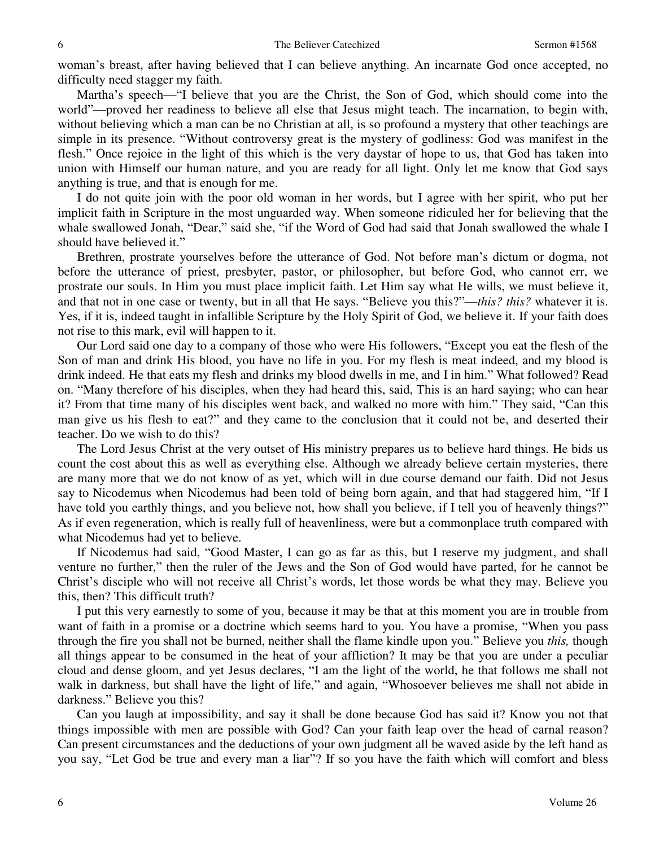woman's breast, after having believed that I can believe anything. An incarnate God once accepted, no difficulty need stagger my faith.

 Martha's speech—"I believe that you are the Christ, the Son of God, which should come into the world"—proved her readiness to believe all else that Jesus might teach. The incarnation, to begin with, without believing which a man can be no Christian at all, is so profound a mystery that other teachings are simple in its presence. "Without controversy great is the mystery of godliness: God was manifest in the flesh." Once rejoice in the light of this which is the very daystar of hope to us, that God has taken into union with Himself our human nature, and you are ready for all light. Only let me know that God says anything is true, and that is enough for me.

 I do not quite join with the poor old woman in her words, but I agree with her spirit, who put her implicit faith in Scripture in the most unguarded way. When someone ridiculed her for believing that the whale swallowed Jonah, "Dear," said she, "if the Word of God had said that Jonah swallowed the whale I should have believed it."

 Brethren, prostrate yourselves before the utterance of God. Not before man's dictum or dogma, not before the utterance of priest, presbyter, pastor, or philosopher, but before God, who cannot err, we prostrate our souls. In Him you must place implicit faith. Let Him say what He wills, we must believe it, and that not in one case or twenty, but in all that He says. "Believe you this?"—*this? this?* whatever it is. Yes, if it is, indeed taught in infallible Scripture by the Holy Spirit of God, we believe it. If your faith does not rise to this mark, evil will happen to it.

 Our Lord said one day to a company of those who were His followers, "Except you eat the flesh of the Son of man and drink His blood, you have no life in you. For my flesh is meat indeed, and my blood is drink indeed. He that eats my flesh and drinks my blood dwells in me, and I in him." What followed? Read on. "Many therefore of his disciples, when they had heard this, said, This is an hard saying; who can hear it? From that time many of his disciples went back, and walked no more with him." They said, "Can this man give us his flesh to eat?" and they came to the conclusion that it could not be, and deserted their teacher. Do we wish to do this?

 The Lord Jesus Christ at the very outset of His ministry prepares us to believe hard things. He bids us count the cost about this as well as everything else. Although we already believe certain mysteries, there are many more that we do not know of as yet, which will in due course demand our faith. Did not Jesus say to Nicodemus when Nicodemus had been told of being born again, and that had staggered him, "If I have told you earthly things, and you believe not, how shall you believe, if I tell you of heavenly things?" As if even regeneration, which is really full of heavenliness, were but a commonplace truth compared with what Nicodemus had yet to believe.

 If Nicodemus had said, "Good Master, I can go as far as this, but I reserve my judgment, and shall venture no further," then the ruler of the Jews and the Son of God would have parted, for he cannot be Christ's disciple who will not receive all Christ's words, let those words be what they may. Believe you this, then? This difficult truth?

 I put this very earnestly to some of you, because it may be that at this moment you are in trouble from want of faith in a promise or a doctrine which seems hard to you. You have a promise, "When you pass through the fire you shall not be burned, neither shall the flame kindle upon you." Believe you *this,* though all things appear to be consumed in the heat of your affliction? It may be that you are under a peculiar cloud and dense gloom, and yet Jesus declares, "I am the light of the world, he that follows me shall not walk in darkness, but shall have the light of life," and again, "Whosoever believes me shall not abide in darkness." Believe you this?

 Can you laugh at impossibility, and say it shall be done because God has said it? Know you not that things impossible with men are possible with God? Can your faith leap over the head of carnal reason? Can present circumstances and the deductions of your own judgment all be waved aside by the left hand as you say, "Let God be true and every man a liar"? If so you have the faith which will comfort and bless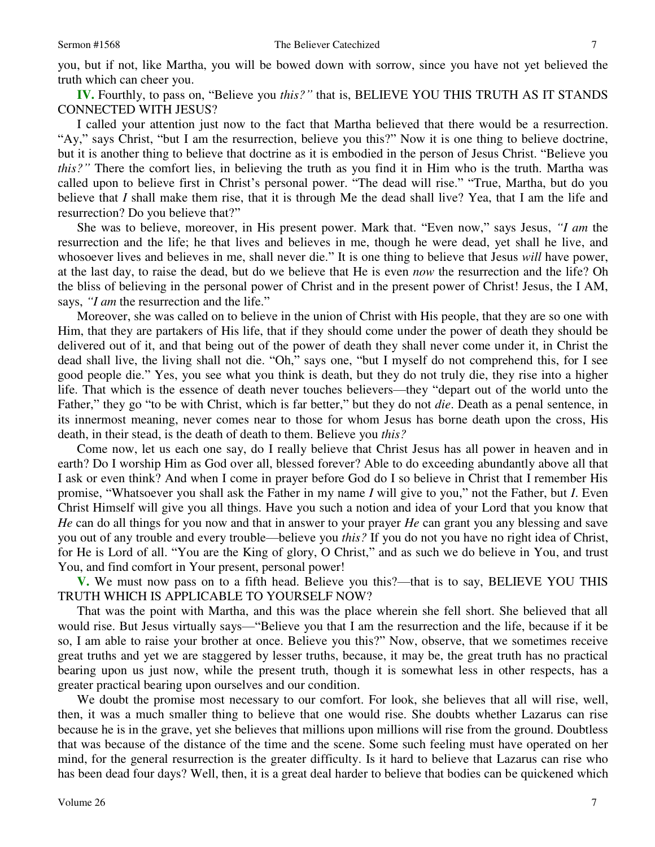you, but if not, like Martha, you will be bowed down with sorrow, since you have not yet believed the truth which can cheer you.

**IV.** Fourthly, to pass on, "Believe you *this?"* that is, BELIEVE YOU THIS TRUTH AS IT STANDS CONNECTED WITH JESUS?

 I called your attention just now to the fact that Martha believed that there would be a resurrection. "Ay," says Christ, "but I am the resurrection, believe you this?" Now it is one thing to believe doctrine, but it is another thing to believe that doctrine as it is embodied in the person of Jesus Christ. "Believe you *this?*<sup>"</sup> There the comfort lies, in believing the truth as you find it in Him who is the truth. Martha was called upon to believe first in Christ's personal power. "The dead will rise." "True, Martha, but do you believe that *I* shall make them rise, that it is through Me the dead shall live? Yea, that I am the life and resurrection? Do you believe that?"

 She was to believe, moreover, in His present power. Mark that. "Even now," says Jesus, *"I am* the resurrection and the life; he that lives and believes in me, though he were dead, yet shall he live, and whosoever lives and believes in me, shall never die." It is one thing to believe that Jesus *will* have power, at the last day, to raise the dead, but do we believe that He is even *now* the resurrection and the life? Oh the bliss of believing in the personal power of Christ and in the present power of Christ! Jesus, the I AM, says, *"I am* the resurrection and the life."

 Moreover, she was called on to believe in the union of Christ with His people, that they are so one with Him, that they are partakers of His life, that if they should come under the power of death they should be delivered out of it, and that being out of the power of death they shall never come under it, in Christ the dead shall live, the living shall not die. "Oh," says one, "but I myself do not comprehend this, for I see good people die." Yes, you see what you think is death, but they do not truly die, they rise into a higher life. That which is the essence of death never touches believers—they "depart out of the world unto the Father," they go "to be with Christ, which is far better," but they do not *die*. Death as a penal sentence, in its innermost meaning, never comes near to those for whom Jesus has borne death upon the cross, His death, in their stead, is the death of death to them. Believe you *this?*

 Come now, let us each one say, do I really believe that Christ Jesus has all power in heaven and in earth? Do I worship Him as God over all, blessed forever? Able to do exceeding abundantly above all that I ask or even think? And when I come in prayer before God do I so believe in Christ that I remember His promise, "Whatsoever you shall ask the Father in my name *I* will give to you," not the Father, but *I*. Even Christ Himself will give you all things. Have you such a notion and idea of your Lord that you know that *He* can do all things for you now and that in answer to your prayer *He* can grant you any blessing and save you out of any trouble and every trouble—believe you *this?* If you do not you have no right idea of Christ, for He is Lord of all. "You are the King of glory, O Christ," and as such we do believe in You, and trust You, and find comfort in Your present, personal power!

 **V.** We must now pass on to a fifth head. Believe you this?—that is to say, BELIEVE YOU THIS TRUTH WHICH IS APPLICABLE TO YOURSELF NOW?

 That was the point with Martha, and this was the place wherein she fell short. She believed that all would rise. But Jesus virtually says—"Believe you that I am the resurrection and the life, because if it be so, I am able to raise your brother at once. Believe you this?" Now, observe, that we sometimes receive great truths and yet we are staggered by lesser truths, because, it may be, the great truth has no practical bearing upon us just now, while the present truth, though it is somewhat less in other respects, has a greater practical bearing upon ourselves and our condition.

 We doubt the promise most necessary to our comfort. For look, she believes that all will rise, well, then, it was a much smaller thing to believe that one would rise. She doubts whether Lazarus can rise because he is in the grave, yet she believes that millions upon millions will rise from the ground. Doubtless that was because of the distance of the time and the scene. Some such feeling must have operated on her mind, for the general resurrection is the greater difficulty. Is it hard to believe that Lazarus can rise who has been dead four days? Well, then, it is a great deal harder to believe that bodies can be quickened which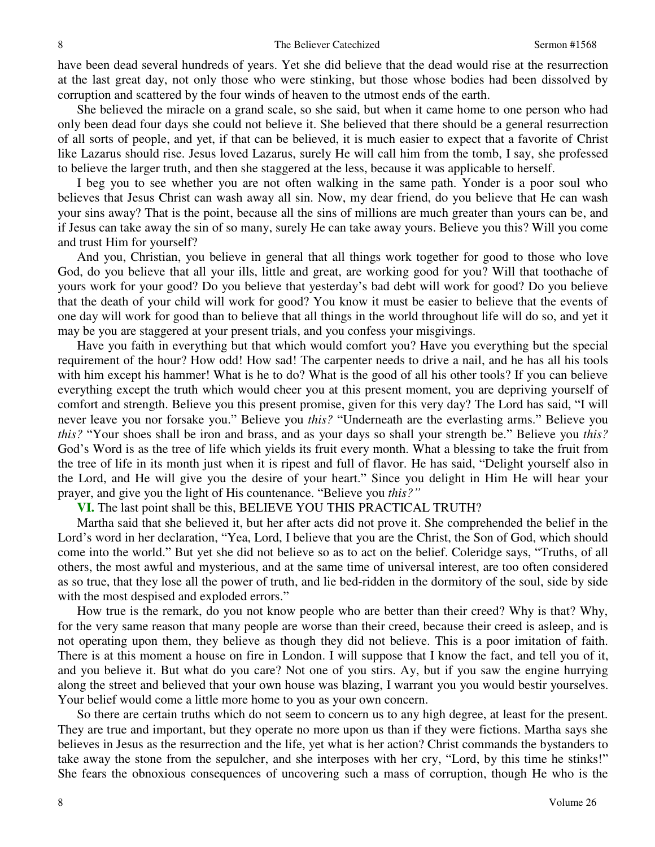have been dead several hundreds of years. Yet she did believe that the dead would rise at the resurrection at the last great day, not only those who were stinking, but those whose bodies had been dissolved by corruption and scattered by the four winds of heaven to the utmost ends of the earth.

 She believed the miracle on a grand scale, so she said, but when it came home to one person who had only been dead four days she could not believe it. She believed that there should be a general resurrection of all sorts of people, and yet, if that can be believed, it is much easier to expect that a favorite of Christ like Lazarus should rise. Jesus loved Lazarus, surely He will call him from the tomb, I say, she professed to believe the larger truth, and then she staggered at the less, because it was applicable to herself.

 I beg you to see whether you are not often walking in the same path. Yonder is a poor soul who believes that Jesus Christ can wash away all sin. Now, my dear friend, do you believe that He can wash your sins away? That is the point, because all the sins of millions are much greater than yours can be, and if Jesus can take away the sin of so many, surely He can take away yours. Believe you this? Will you come and trust Him for yourself?

 And you, Christian, you believe in general that all things work together for good to those who love God, do you believe that all your ills, little and great, are working good for you? Will that toothache of yours work for your good? Do you believe that yesterday's bad debt will work for good? Do you believe that the death of your child will work for good? You know it must be easier to believe that the events of one day will work for good than to believe that all things in the world throughout life will do so, and yet it may be you are staggered at your present trials, and you confess your misgivings.

 Have you faith in everything but that which would comfort you? Have you everything but the special requirement of the hour? How odd! How sad! The carpenter needs to drive a nail, and he has all his tools with him except his hammer! What is he to do? What is the good of all his other tools? If you can believe everything except the truth which would cheer you at this present moment, you are depriving yourself of comfort and strength. Believe you this present promise, given for this very day? The Lord has said, "I will never leave you nor forsake you." Believe you *this?* "Underneath are the everlasting arms." Believe you *this?* "Your shoes shall be iron and brass, and as your days so shall your strength be." Believe you *this?* God's Word is as the tree of life which yields its fruit every month. What a blessing to take the fruit from the tree of life in its month just when it is ripest and full of flavor. He has said, "Delight yourself also in the Lord, and He will give you the desire of your heart." Since you delight in Him He will hear your prayer, and give you the light of His countenance. "Believe you *this?"*

### **VI.** The last point shall be this, BELIEVE YOU THIS PRACTICAL TRUTH?

 Martha said that she believed it, but her after acts did not prove it. She comprehended the belief in the Lord's word in her declaration, "Yea, Lord, I believe that you are the Christ, the Son of God, which should come into the world." But yet she did not believe so as to act on the belief. Coleridge says, "Truths, of all others, the most awful and mysterious, and at the same time of universal interest, are too often considered as so true, that they lose all the power of truth, and lie bed-ridden in the dormitory of the soul, side by side with the most despised and exploded errors."

 How true is the remark, do you not know people who are better than their creed? Why is that? Why, for the very same reason that many people are worse than their creed, because their creed is asleep, and is not operating upon them, they believe as though they did not believe. This is a poor imitation of faith. There is at this moment a house on fire in London. I will suppose that I know the fact, and tell you of it, and you believe it. But what do you care? Not one of you stirs. Ay, but if you saw the engine hurrying along the street and believed that your own house was blazing, I warrant you you would bestir yourselves. Your belief would come a little more home to you as your own concern.

 So there are certain truths which do not seem to concern us to any high degree, at least for the present. They are true and important, but they operate no more upon us than if they were fictions. Martha says she believes in Jesus as the resurrection and the life, yet what is her action? Christ commands the bystanders to take away the stone from the sepulcher, and she interposes with her cry, "Lord, by this time he stinks!" She fears the obnoxious consequences of uncovering such a mass of corruption, though He who is the